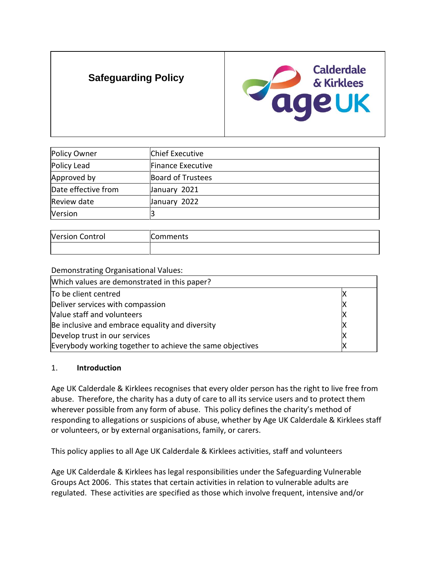# **Safeguarding Policy**



| Policy Owner        | Chief Executive          |
|---------------------|--------------------------|
| Policy Lead         | Finance Executive        |
| Approved by         | <b>Board of Trustees</b> |
| Date effective from | January 2021             |
| Review date         | January 2022             |
| Version             |                          |

| <b>Version Control</b> | mments\ |
|------------------------|---------|
|                        |         |

| Demonstrating Organisational Values:                      |  |
|-----------------------------------------------------------|--|
| Which values are demonstrated in this paper?              |  |
| To be client centred                                      |  |
| Deliver services with compassion                          |  |
| Value staff and volunteers                                |  |
| Be inclusive and embrace equality and diversity           |  |
| Develop trust in our services                             |  |
| Everybody working together to achieve the same objectives |  |

## 1. **Introduction**

Age UK Calderdale & Kirklees recognises that every older person has the right to live free from abuse. Therefore, the charity has a duty of care to all its service users and to protect them wherever possible from any form of abuse. This policy defines the charity's method of responding to allegations or suspicions of abuse, whether by Age UK Calderdale & Kirklees staff or volunteers, or by external organisations, family, or carers.

This policy applies to all Age UK Calderdale & Kirklees activities, staff and volunteers

Age UK Calderdale & Kirklees has legal responsibilities under the Safeguarding Vulnerable Groups Act 2006. This states that certain activities in relation to vulnerable adults are regulated. These activities are specified as those which involve frequent, intensive and/or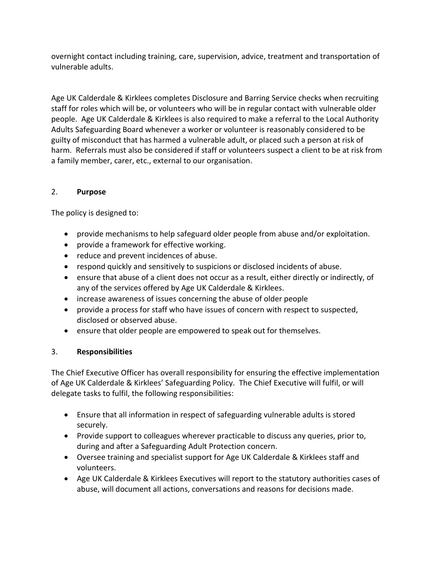overnight contact including training, care, supervision, advice, treatment and transportation of vulnerable adults.

Age UK Calderdale & Kirklees completes Disclosure and Barring Service checks when recruiting staff for roles which will be, or volunteers who will be in regular contact with vulnerable older people. Age UK Calderdale & Kirklees is also required to make a referral to the Local Authority Adults Safeguarding Board whenever a worker or volunteer is reasonably considered to be guilty of misconduct that has harmed a vulnerable adult, or placed such a person at risk of harm. Referrals must also be considered if staff or volunteers suspect a client to be at risk from a family member, carer, etc., external to our organisation.

# 2. **Purpose**

The policy is designed to:

- provide mechanisms to help safeguard older people from abuse and/or exploitation.
- provide a framework for effective working.
- reduce and prevent incidences of abuse.
- respond quickly and sensitively to suspicions or disclosed incidents of abuse.
- ensure that abuse of a client does not occur as a result, either directly or indirectly, of any of the services offered by Age UK Calderdale & Kirklees.
- increase awareness of issues concerning the abuse of older people
- provide a process for staff who have issues of concern with respect to suspected, disclosed or observed abuse.
- ensure that older people are empowered to speak out for themselves.

## 3. **Responsibilities**

The Chief Executive Officer has overall responsibility for ensuring the effective implementation of Age UK Calderdale & Kirklees' Safeguarding Policy. The Chief Executive will fulfil, or will delegate tasks to fulfil, the following responsibilities:

- Ensure that all information in respect of safeguarding vulnerable adults is stored securely.
- Provide support to colleagues wherever practicable to discuss any queries, prior to, during and after a Safeguarding Adult Protection concern.
- Oversee training and specialist support for Age UK Calderdale & Kirklees staff and volunteers.
- Age UK Calderdale & Kirklees Executives will report to the statutory authorities cases of abuse, will document all actions, conversations and reasons for decisions made.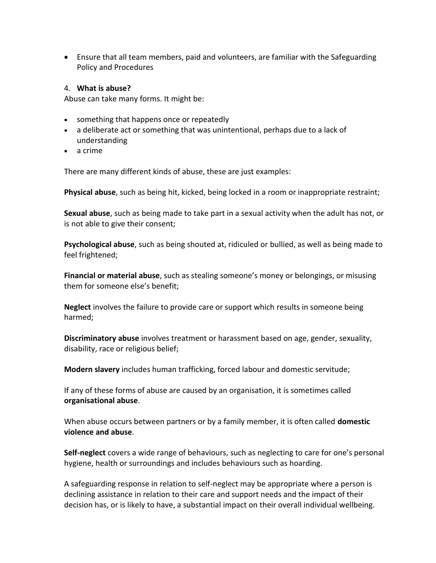• Ensure that all team members, paid and volunteers, are familiar with the Safeguarding Policy and Procedures

#### 4. **What is abuse?**

Abuse can take many forms. It might be:

- something that happens once or repeatedly
- a deliberate act or something that was unintentional, perhaps due to a lack of understanding
- a crime

There are many different kinds of abuse, these are just examples:

**Physical abuse**, such as being hit, kicked, being locked in a room or inappropriate restraint;

**Sexual abuse**, such as being made to take part in a sexual activity when the adult has not, or is not able to give their consent;

**Psychological abuse**, such as being shouted at, ridiculed or bullied, as well as being made to feel frightened;

**Financial or material abuse**, such as stealing someone's money or belongings, or misusing them for someone else's benefit;

**Neglect** involves the failure to provide care or support which results in someone being harmed;

**Discriminatory abuse** involves treatment or harassment based on age, gender, sexuality, disability, race or religious belief;

**Modern slavery** includes human trafficking, forced labour and domestic servitude;

If any of these forms of abuse are caused by an organisation, it is sometimes called **organisational abuse**.

When abuse occurs between partners or by a family member, it is often called **domestic violence and abuse**.

**Self-neglect** covers a wide range of behaviours, such as neglecting to care for one's personal hygiene, health or surroundings and includes behaviours such as hoarding.

A safeguarding response in relation to self-neglect may be appropriate where a person is declining assistance in relation to their care and support needs and the impact of their decision has, or is likely to have, a substantial impact on their overall individual wellbeing.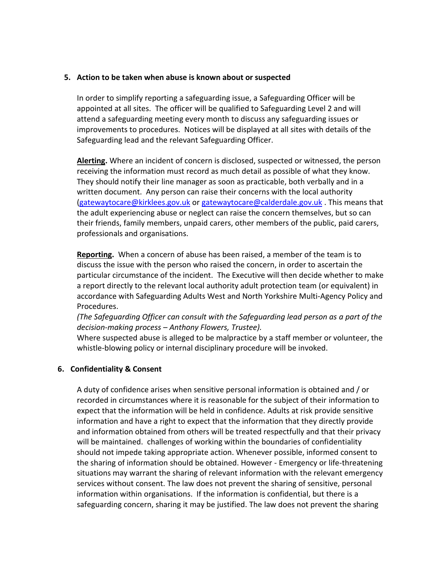#### **5. Action to be taken when abuse is known about or suspected**

In order to simplify reporting a safeguarding issue, a Safeguarding Officer will be appointed at all sites. The officer will be qualified to Safeguarding Level 2 and will attend a safeguarding meeting every month to discuss any safeguarding issues or improvements to procedures. Notices will be displayed at all sites with details of the Safeguarding lead and the relevant Safeguarding Officer.

**Alerting.** Where an incident of concern is disclosed, suspected or witnessed, the person receiving the information must record as much detail as possible of what they know. They should notify their line manager as soon as practicable, both verbally and in a written document. Any person can raise their concerns with the local authority [\(gatewaytocare@kirklees.gov.uk](mailto:gatewaytocare@kirklees.gov.uk) or [gatewaytocare@calderdale.gov.uk](mailto:gatewaytocare@calderdale.gov.uk) . This means that the adult experiencing abuse or neglect can raise the concern themselves, but so can their friends, family members, unpaid carers, other members of the public, paid carers, professionals and organisations.

**Reporting.** When a concern of abuse has been raised, a member of the team is to discuss the issue with the person who raised the concern, in order to ascertain the particular circumstance of the incident. The Executive will then decide whether to make a report directly to the relevant local authority adult protection team (or equivalent) in accordance with Safeguarding Adults West and North Yorkshire Multi-Agency Policy and Procedures.

*(The Safeguarding Officer can consult with the Safeguarding lead person as a part of the decision-making process – Anthony Flowers, Trustee).*

Where suspected abuse is alleged to be malpractice by a staff member or volunteer, the whistle-blowing policy or internal disciplinary procedure will be invoked.

#### **6. Confidentiality & Consent**

A duty of confidence arises when sensitive personal information is obtained and / or recorded in circumstances where it is reasonable for the subject of their information to expect that the information will be held in confidence. Adults at risk provide sensitive information and have a right to expect that the information that they directly provide and information obtained from others will be treated respectfully and that their privacy will be maintained. challenges of working within the boundaries of confidentiality should not impede taking appropriate action. Whenever possible, informed consent to the sharing of information should be obtained. However - Emergency or life-threatening situations may warrant the sharing of relevant information with the relevant emergency services without consent. The law does not prevent the sharing of sensitive, personal information within organisations. If the information is confidential, but there is a safeguarding concern, sharing it may be justified. The law does not prevent the sharing